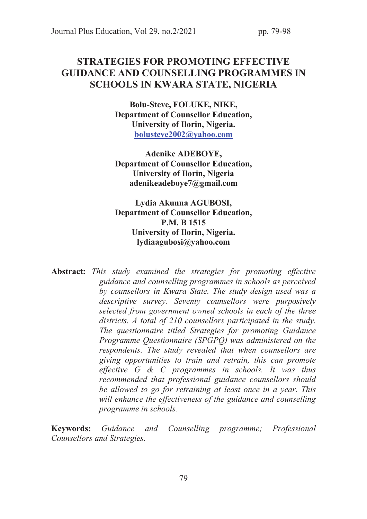# STRATEGIES FOR PROMOTING EFFECTIVE GUIDANCE AND COUNSELLING PROGRAMMES IN SCHOOLS IN KWARA STATE, NIGERIA

Bolu-Steve, FOLUKE, NIKE, Department of Counsellor Education, University of Ilorin, Nigeria. bolusteve2002@yahoo.com

Adenike ADEBOYE, Department of Counsellor Education, University of Ilorin, Nigeria adenikeadeboye7@gmail.com

Lydia Akunna AGUBOSI, Department of Counsellor Education, P.M. B 1515 University of Ilorin, Nigeria. lydiaagubosi@yahoo.com

Abstract: *This study examined the strategies for promoting effective guidance and counselling programmes in schools as perceived by counsellors in Kwara State. The study design used was a descriptive survey. Seventy counsellors were purposively selected from government owned schools in each of the three districts. A total of 210 counsellors participated in the study. The questionnaire titled Strategies for promoting Guidance Programme Questionnaire (SPGPQ) was administered on the respondents. The study revealed that when counsellors are giving opportunities to train and retrain, this can promote effective G & C programmes in schools. It was thus recommended that professional guidance counsellors should be allowed to go for retraining at least once in a year. This will enhance the effectiveness of the guidance and counselling programme in schools.* 

Keywords: *Guidance and Counselling programme; Professional Counsellors and Strategies*.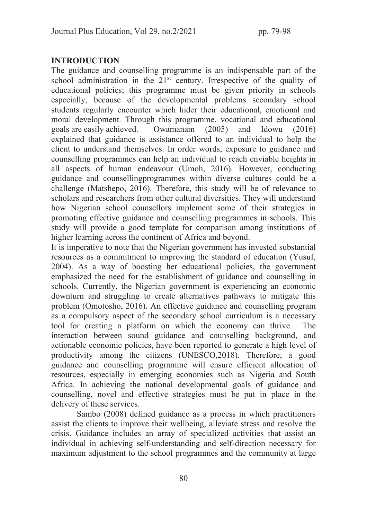# INTRODUCTION

The guidance and counselling programme is an indispensable part of the school administration in the  $21<sup>st</sup>$  century. Irrespective of the quality of educational policies; this programme must be given priority in schools especially, because of the developmental problems secondary school students regularly encounter which hider their educational, emotional and moral development. Through this programme, vocational and educational goals are easily achieved. Owamanam (2005) and Idowu (2016) explained that guidance is assistance offered to an individual to help the client to understand themselves. In order words, exposure to guidance and counselling programmes can help an individual to reach enviable heights in all aspects of human endeavour (Umoh, 2016). However, conducting guidance and counsellingprogrammes within diverse cultures could be a challenge (Matshepo, 2016). Therefore, this study will be of relevance to scholars and researchers from other cultural diversities. They will understand how Nigerian school counsellors implement some of their strategies in promoting effective guidance and counselling programmes in schools. This study will provide a good template for comparison among institutions of higher learning across the continent of Africa and beyond.

It is imperative to note that the Nigerian government has invested substantial resources as a commitment to improving the standard of education (Yusuf, 2004). As a way of boosting her educational policies, the government emphasized the need for the establishment of guidance and counselling in schools. Currently, the Nigerian government is experiencing an economic downturn and struggling to create alternatives pathways to mitigate this problem (Omotosho, 2016). An effective guidance and counselling program as a compulsory aspect of the secondary school curriculum is a necessary tool for creating a platform on which the economy can thrive. The interaction between sound guidance and counselling background, and actionable economic policies, have been reported to generate a high level of productivity among the citizens (UNESCO,2018). Therefore, a good guidance and counselling programme will ensure efficient allocation of resources, especially in emerging economies such as Nigeria and South Africa. In achieving the national developmental goals of guidance and counselling, novel and effective strategies must be put in place in the delivery of these services.

 Sambo (2008) defined guidance as a process in which practitioners assist the clients to improve their wellbeing, alleviate stress and resolve the crisis. Guidance includes an array of specialized activities that assist an individual in achieving self-understanding and self-direction necessary for maximum adjustment to the school programmes and the community at large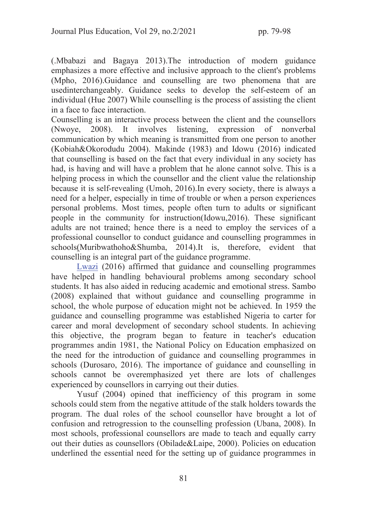(.Mbabazi and Bagaya 2013).The introduction of modern guidance emphasizes a more effective and inclusive approach to the client's problems (Mpho, 2016).Guidance and counselling are two phenomena that are usedinterchangeably. Guidance seeks to develop the self-esteem of an individual (Hue 2007) While counselling is the process of assisting the client in a face to face interaction.

Counselling is an interactive process between the client and the counsellors (Nwoye, 2008). It involves listening, expression of nonverbal communication by which meaning is transmitted from one person to another (Kobiah&Okorodudu 2004). Makinde (1983) and Idowu (2016) indicated that counselling is based on the fact that every individual in any society has had, is having and will have a problem that he alone cannot solve. This is a helping process in which the counsellor and the client value the relationship because it is self-revealing (Umoh, 2016).In every society, there is always a need for a helper, especially in time of trouble or when a person experiences personal problems. Most times, people often turn to adults or significant people in the community for instruction(Idowu,2016). These significant adults are not trained; hence there is a need to employ the services of a professional counsellor to conduct guidance and counselling programmes in schools(Muribwathoho&Shumba, 2014).It is, therefore, evident that counselling is an integral part of the guidance programme.

Lwazi (2016) affirmed that guidance and counselling programmes have helped in handling behavioural problems among secondary school students. It has also aided in reducing academic and emotional stress. Sambo (2008) explained that without guidance and counselling programme in school, the whole purpose of education might not be achieved. In 1959 the guidance and counselling programme was established Nigeria to carter for career and moral development of secondary school students. In achieving this objective, the program began to feature in teacher's education programmes andin 1981, the National Policy on Education emphasized on the need for the introduction of guidance and counselling programmes in schools (Durosaro, 2016). The importance of guidance and counselling in schools cannot be overemphasized yet there are lots of challenges experienced by counsellors in carrying out their duties.

 Yusuf (2004) opined that inefficiency of this program in some schools could stem from the negative attitude of the stalk holders towards the program. The dual roles of the school counsellor have brought a lot of confusion and retrogression to the counselling profession (Ubana, 2008). In most schools, professional counsellors are made to teach and equally carry out their duties as counsellors (Obilade&Laipe, 2000). Policies on education underlined the essential need for the setting up of guidance programmes in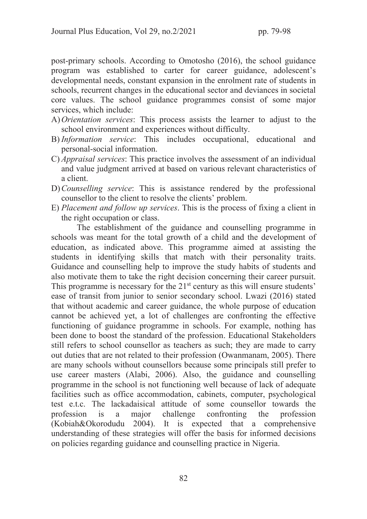post-primary schools. According to Omotosho (2016), the school guidance program was established to carter for career guidance, adolescent's developmental needs, constant expansion in the enrolment rate of students in schools, recurrent changes in the educational sector and deviances in societal core values. The school guidance programmes consist of some major services, which include:

- A)*Orientation services*: This process assists the learner to adjust to the school environment and experiences without difficulty.
- B) *Information service*: This includes occupational, educational and personal-social information.
- C) *Appraisal services*: This practice involves the assessment of an individual and value judgment arrived at based on various relevant characteristics of a client.
- D)*Counselling service*: This is assistance rendered by the professional counsellor to the client to resolve the clients' problem.
- E) *Placement and follow up services*. This is the process of fixing a client in the right occupation or class.

 The establishment of the guidance and counselling programme in schools was meant for the total growth of a child and the development of education, as indicated above. This programme aimed at assisting the students in identifying skills that match with their personality traits. Guidance and counselling help to improve the study habits of students and also motivate them to take the right decision concerning their career pursuit. This programme is necessary for the  $21<sup>st</sup>$  century as this will ensure students' ease of transit from junior to senior secondary school. Lwazi (2016) stated that without academic and career guidance, the whole purpose of education cannot be achieved yet, a lot of challenges are confronting the effective functioning of guidance programme in schools. For example, nothing has been done to boost the standard of the profession. Educational Stakeholders still refers to school counsellor as teachers as such; they are made to carry out duties that are not related to their profession (Owanmanam, 2005). There are many schools without counsellors because some principals still prefer to use career masters (Alabi, 2006). Also, the guidance and counselling programme in the school is not functioning well because of lack of adequate facilities such as office accommodation, cabinets, computer, psychological test e.t.c. The lackadaisical attitude of some counsellor towards the profession is a major challenge confronting the profession (Kobiah&Okorodudu 2004). It is expected that a comprehensive understanding of these strategies will offer the basis for informed decisions on policies regarding guidance and counselling practice in Nigeria.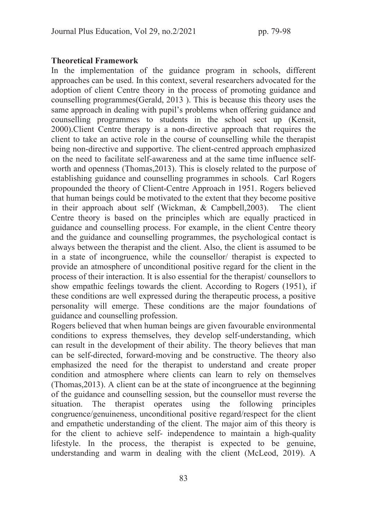### Theoretical Framework

In the implementation of the guidance program in schools, different approaches can be used. In this context, several researchers advocated for the adoption of client Centre theory in the process of promoting guidance and counselling programmes(Gerald, 2013 ). This is because this theory uses the same approach in dealing with pupil's problems when offering guidance and counselling programmes to students in the school sect up (Kensit, 2000).Client Centre therapy is a non-directive approach that requires the client to take an active role in the course of counselling while the therapist being non-directive and supportive. The client-centred approach emphasized on the need to facilitate self-awareness and at the same time influence selfworth and openness (Thomas,2013). This is closely related to the purpose of establishing guidance and counselling programmes in schools. Carl Rogers propounded the theory of Client-Centre Approach in 1951. Rogers believed that human beings could be motivated to the extent that they become positive in their approach about self (Wickman, & Campbell,2003). The client Centre theory is based on the principles which are equally practiced in guidance and counselling process. For example, in the client Centre theory and the guidance and counselling programmes, the psychological contact is always between the therapist and the client. Also, the client is assumed to be in a state of incongruence, while the counsellor/ therapist is expected to provide an atmosphere of unconditional positive regard for the client in the process of their interaction. It is also essential for the therapist/ counsellors to show empathic feelings towards the client. According to Rogers (1951), if these conditions are well expressed during the therapeutic process, a positive personality will emerge. These conditions are the major foundations of guidance and counselling profession.

Rogers believed that when human beings are given favourable environmental conditions to express themselves, they develop self-understanding, which can result in the development of their ability. The theory believes that man can be self-directed, forward-moving and be constructive. The theory also emphasized the need for the therapist to understand and create proper condition and atmosphere where clients can learn to rely on themselves (Thomas,2013). A client can be at the state of incongruence at the beginning of the guidance and counselling session, but the counsellor must reverse the situation. The therapist operates using the following principles congruence/genuineness, unconditional positive regard/respect for the client and empathetic understanding of the client. The major aim of this theory is for the client to achieve self- independence to maintain a high-quality lifestyle. In the process, the therapist is expected to be genuine, understanding and warm in dealing with the client (McLeod, 2019). A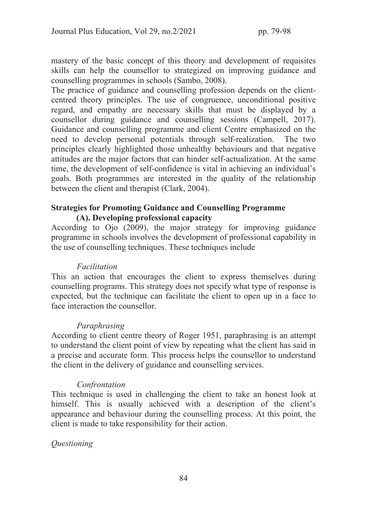mastery of the basic concept of this theory and development of requisites skills can help the counsellor to strategized on improving guidance and counselling programmes in schools (Sambo, 2008).

The practice of guidance and counselling profession depends on the clientcentred theory principles. The use of congruence, unconditional positive regard, and empathy are necessary skills that must be displayed by a counsellor during guidance and counselling sessions (Campell, 2017). Guidance and counselling programme and client Centre emphasized on the need to develop personal potentials through self-realization. The two principles clearly highlighted those unhealthy behaviours and that negative attitudes are the major factors that can hinder self-actualization. At the same time, the development of self-confidence is vital in achieving an individual's goals. Both programmes are interested in the quality of the relationship between the client and therapist (Clark, 2004).

## Strategies for Promoting Guidance and Counselling Programme (A). Developing professional capacity

According to Ojo (2009), the major strategy for improving guidance programme in schools involves the development of professional capability in the use of counselling techniques. These techniques include

### *Facilitation*

This an action that encourages the client to express themselves during counselling programs. This strategy does not specify what type of response is expected, but the technique can facilitate the client to open up in a face to face interaction the counsellor.

### *Paraphrasing*

According to client centre theory of Roger 1951, paraphrasing is an attempt to understand the client point of view by repeating what the client has said in a precise and accurate form. This process helps the counsellor to understand the client in the delivery of guidance and counselling services.

### *Confrontation*

This technique is used in challenging the client to take an honest look at himself. This is usually achieved with a description of the client's appearance and behaviour during the counselling process. At this point, the client is made to take responsibility for their action.

# *Questioning*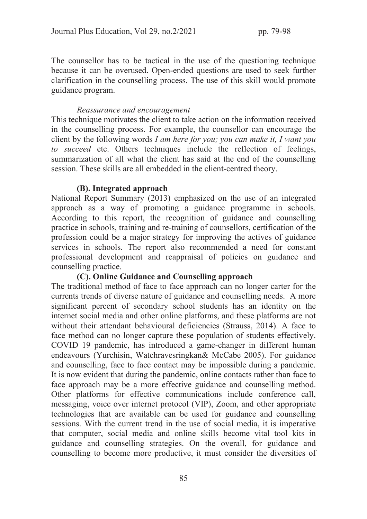The counsellor has to be tactical in the use of the questioning technique because it can be overused. Open-ended questions are used to seek further clarification in the counselling process. The use of this skill would promote guidance program.

### *Reassurance and encouragement*

This technique motivates the client to take action on the information received in the counselling process. For example, the counsellor can encourage the client by the following words *I am here for you; you can make it, I want you to succeed* etc. Others techniques include the reflection of feelings, summarization of all what the client has said at the end of the counselling session. These skills are all embedded in the client-centred theory.

#### (B). Integrated approach

National Report Summary (2013) emphasized on the use of an integrated approach as a way of promoting a guidance programme in schools. According to this report, the recognition of guidance and counselling practice in schools, training and re-training of counsellors, certification of the profession could be a major strategy for improving the actives of guidance services in schools. The report also recommended a need for constant professional development and reappraisal of policies on guidance and counselling practice.

#### (C). Online Guidance and Counselling approach

The traditional method of face to face approach can no longer carter for the currents trends of diverse nature of guidance and counselling needs. A more significant percent of secondary school students has an identity on the internet social media and other online platforms, and these platforms are not without their attendant behavioural deficiencies (Strauss, 2014). A face to face method can no longer capture these population of students effectively. COVID 19 pandemic, has introduced a game-changer in different human endeavours (Yurchisin, Watchravesringkan& McCabe 2005). For guidance and counselling, face to face contact may be impossible during a pandemic. It is now evident that during the pandemic, online contacts rather than face to face approach may be a more effective guidance and counselling method. Other platforms for effective communications include conference call, messaging, voice over internet protocol (VIP), Zoom, and other appropriate technologies that are available can be used for guidance and counselling sessions. With the current trend in the use of social media, it is imperative that computer, social media and online skills become vital tool kits in guidance and counselling strategies. On the overall, for guidance and counselling to become more productive, it must consider the diversities of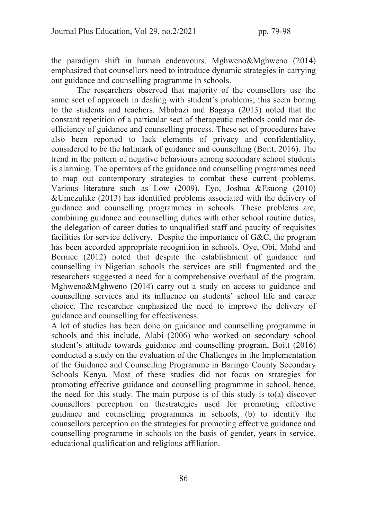the paradigm shift in human endeavours. Mghweno&Mghweno (2014) emphasized that counsellors need to introduce dynamic strategies in carrying out guidance and counselling programme in schools.

 The researchers observed that majority of the counsellors use the same sect of approach in dealing with student's problems; this seem boring to the students and teachers. Mbabazi and Bagaya (2013) noted that the constant repetition of a particular sect of therapeutic methods could mar deefficiency of guidance and counselling process. These set of procedures have also been reported to lack elements of privacy and confidentiality, considered to be the hallmark of guidance and counselling (Boitt, 2016). The trend in the pattern of negative behaviours among secondary school students is alarming. The operators of the guidance and counselling programmes need to map out contemporary strategies to combat these current problems. Various literature such as Low (2009), Eyo, Joshua &Esuong (2010) &Umezulike (2013) has identified problems associated with the delivery of guidance and counselling programmes in schools. These problems are, combining guidance and counselling duties with other school routine duties, the delegation of career duties to unqualified staff and paucity of requisites facilities for service delivery. Despite the importance of G&C, the program has been accorded appropriate recognition in schools. Oye, Obi, Mohd and Bernice (2012) noted that despite the establishment of guidance and counselling in Nigerian schools the services are still fragmented and the researchers suggested a need for a comprehensive overhaul of the program. Mghweno&Mghweno (2014) carry out a study on access to guidance and counselling services and its influence on students' school life and career choice. The researcher emphasized the need to improve the delivery of guidance and counselling for effectiveness.

A lot of studies has been done on guidance and counselling programme in schools and this include, Alabi (2006) who worked on secondary school student's attitude towards guidance and counselling program, Boitt (2016) conducted a study on the evaluation of the Challenges in the Implementation of the Guidance and Counselling Programme in Baringo County Secondary Schools Kenya. Most of these studies did not focus on strategies for promoting effective guidance and counselling programme in school, hence, the need for this study. The main purpose is of this study is to(a) discover counsellors perception on thestrategies used for promoting effective guidance and counselling programmes in schools, (b) to identify the counsellors perception on the strategies for promoting effective guidance and counselling programme in schools on the basis of gender, years in service, educational qualification and religious affiliation.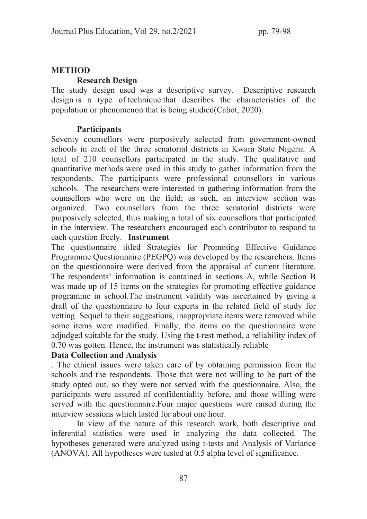## METHOD

## Research Design

The study design used was a descriptive survey. Descriptive research design is a type of technique that describes the characteristics of the population or phenomenon that is being studied(Cabot, 2020).

## **Participants**

Seventy counsellors were purposively selected from government-owned schools in each of the three senatorial districts in Kwara State Nigeria. A total of 210 counsellors participated in the study. The qualitative and quantitative methods were used in this study to gather information from the respondents. The participants were professional counsellors in various schools. The researchers were interested in gathering information from the counsellors who were on the field; as such, an interview section was organized. Two counsellors from the three senatorial districts were purposively selected, thus making a total of six counsellors that participated in the interview. The researchers encouraged each contributor to respond to each question freely. Instrument

The questionnaire titled Strategies for Promoting Effective Guidance Programme Questionnaire (PEGPQ) was developed by the researchers. Items on the questionnaire were derived from the appraisal of current literature. The respondents' information is contained in sections A, while Section B was made up of 15 items on the strategies for promoting effective guidance programme in school.The instrument validity was ascertained by giving a draft of the questionnaire to four experts in the related field of study for vetting. Sequel to their suggestions, inappropriate items were removed while some items were modified. Finally, the items on the questionnaire were adjudged suitable for the study. Using the t-rest method, a reliability index of 0.70 was gotten. Hence, the instrument was statistically reliable

# Data Collection and Analysis

. The ethical issues were taken care of by obtaining permission from the schools and the respondents. Those that were not willing to be part of the study opted out, so they were not served with the questionnaire. Also, the participants were assured of confidentiality before, and those willing were served with the questionnaire.Four major questions were raised during the interview sessions which lasted for about one hour.

In view of the nature of this research work, both descriptive and inferential statistics were used in analyzing the data collected. The hypotheses generated were analyzed using t-tests and Analysis of Variance (ANOVA). All hypotheses were tested at 0.5 alpha level of significance.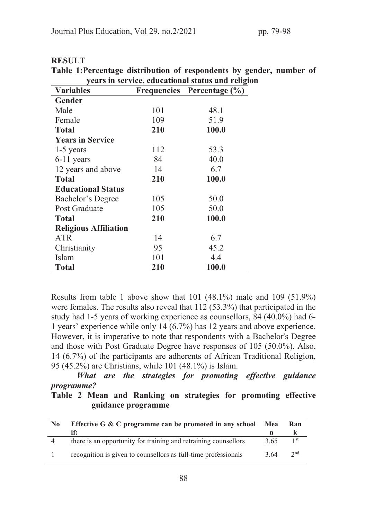| years in service, educational status and religion |     |                            |  |  |  |  |
|---------------------------------------------------|-----|----------------------------|--|--|--|--|
| <b>Variables</b>                                  |     | Frequencies Percentage (%) |  |  |  |  |
| <b>Gender</b>                                     |     |                            |  |  |  |  |
| Male                                              | 101 | 48.1                       |  |  |  |  |
| Female                                            | 109 | 51.9                       |  |  |  |  |
| <b>Total</b>                                      | 210 | 100.0                      |  |  |  |  |
| <b>Years in Service</b>                           |     |                            |  |  |  |  |
| $1-5$ years                                       | 112 | 53.3                       |  |  |  |  |
| $6-11$ years                                      | 84  | 40.0                       |  |  |  |  |
| 12 years and above                                | 14  | 6.7                        |  |  |  |  |
| <b>Total</b>                                      | 210 | 100.0                      |  |  |  |  |
| <b>Educational Status</b>                         |     |                            |  |  |  |  |
| Bachelor's Degree                                 | 105 | 50.0                       |  |  |  |  |
| Post Graduate                                     | 105 | 50.0                       |  |  |  |  |
| <b>Total</b>                                      | 210 | 100.0                      |  |  |  |  |
| <b>Religious Affiliation</b>                      |     |                            |  |  |  |  |
| <b>ATR</b>                                        | 14  | 6.7                        |  |  |  |  |
| Christianity                                      | 95  | 45.2                       |  |  |  |  |
| Islam                                             | 101 | 4.4                        |  |  |  |  |
| <b>Total</b>                                      | 210 | 100.0                      |  |  |  |  |

#### **RESULT**

Table 1:Percentage distribution of respondents by gender, number of

Results from table 1 above show that 101 (48.1%) male and 109 (51.9%) were females. The results also reveal that 112 (53.3%) that participated in the study had 1-5 years of working experience as counsellors, 84 (40.0%) had 6- 1 years' experience while only 14 (6.7%) has 12 years and above experience. However, it is imperative to note that respondents with a Bachelor's Degree and those with Post Graduate Degree have responses of 105 (50.0%). Also, 14 (6.7%) of the participants are adherents of African Traditional Religion, 95 (45.2%) are Christians, while 101 (48.1%) is Islam.

What are the strategies for promoting effective guidance programme?

Table 2 Mean and Ranking on strategies for promoting effective guidance programme

| N <sub>0</sub> | Effective G & C programme can be promoted in any school<br>if:  | Mea  | Ran             |
|----------------|-----------------------------------------------------------------|------|-----------------|
|                | there is an opportunity for training and retraining counsellors | 3.65 | 1 st            |
|                | recognition is given to counsellors as full-time professionals  | 3.64 | 2 <sub>nd</sub> |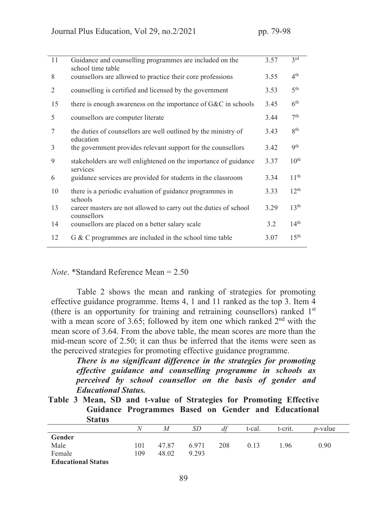| 11 | Guidance and counselling programmes are included on the<br>school time table    | 3.57 | 3 <sup>rd</sup>  |
|----|---------------------------------------------------------------------------------|------|------------------|
| 8  | counsellors are allowed to practice their core professions                      | 3.55 | $4^{\text{th}}$  |
| 2  | counselling is certified and licensed by the government                         | 3.53 | 5 <sup>th</sup>  |
| 15 | there is enough awareness on the importance of $G\&C$ in schools                | 3.45 | 6 <sup>th</sup>  |
| 5  | counsellors are computer literate                                               | 3.44 | 7 <sup>th</sup>  |
| 7  | the duties of counsellors are well outlined by the ministry of<br>education     | 3.43 | <b>g</b> th      |
| 3  | the government provides relevant support for the counsellors                    | 3.42 | <b>9th</b>       |
| 9  | stakeholders are well enlightened on the importance of guidance<br>services     | 3.37 | $10^{\text{th}}$ |
| 6  | guidance services are provided for students in the classroom                    | 3.34 | 11 <sup>th</sup> |
| 10 | there is a periodic evaluation of guidance programmes in<br>schools             | 3.33 | $12^{th}$        |
| 13 | career masters are not allowed to carry out the duties of school<br>counsellors | 3.29 | 13 <sup>th</sup> |
| 14 | counsellors are placed on a better salary scale                                 | 3.2  | 14 <sup>th</sup> |
| 12 | G & C programmes are included in the school time table                          | 3.07 | 15 <sup>th</sup> |

#### *Note*. \*Standard Reference Mean = 2.50

Table 2 shows the mean and ranking of strategies for promoting effective guidance programme. Items 4, 1 and 11 ranked as the top 3. Item 4 (there is an opportunity for training and retraining counsellors) ranked 1st with a mean score of 3.65; followed by item one which ranked 2<sup>nd</sup> with the mean score of 3.64. From the above table, the mean scores are more than the mid-mean score of 2.50; it can thus be inferred that the items were seen as the perceived strategies for promoting effective guidance programme.

There is no significant difference in the strategies for promoting effective guidance and counselling programme in schools as perceived by school counsellor on the basis of gender and Educational Status.

Table 3 Mean, SD and t-value of Strategies for Promoting Effective Guidance Programmes Based on Gender and Educational Status

| wuun                      |     |       |       |     |        |         |                 |
|---------------------------|-----|-------|-------|-----|--------|---------|-----------------|
|                           | N   | M     | SD    | df  | t-cal. | t-crit. | <i>p</i> -value |
| Gender                    |     |       |       |     |        |         |                 |
| Male                      | 101 | 47.87 | 6.971 | 208 | 0.13   | 1.96    | 0.90            |
| Female                    | 109 | 48.02 | 9.293 |     |        |         |                 |
| <b>Educational Status</b> |     |       |       |     |        |         |                 |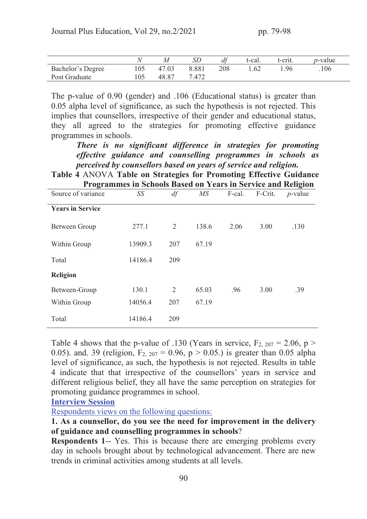|                          |     |       |       | df  | t-cal. | t-crit. | <i>p</i> -value |
|--------------------------|-----|-------|-------|-----|--------|---------|-----------------|
| <b>Bachelor's Degree</b> | 105 | 47.03 | 8.881 | 208 |        | .96     | .106            |
| Post Graduate            | 105 | 48.87 | .472  |     |        |         |                 |

The p-value of 0.90 (gender) and .106 (Educational status) is greater than 0.05 alpha level of significance, as such the hypothesis is not rejected. This implies that counsellors, irrespective of their gender and educational status, they all agreed to the strategies for promoting effective guidance programmes in schools.

There is no significant difference in strategies for promoting effective guidance and counselling programmes in schools as perceived by counsellors based on years of service and religion.

Table 4 ANOVA Table on Strategies for Promoting Effective Guidance Programmes in Schools Based on Years in Service and Religion

| Source of variance      | SS      | df             | $\overline{MS}$ | F-cal. | F-Crit. | ັ<br>$p$ -value |
|-------------------------|---------|----------------|-----------------|--------|---------|-----------------|
| <b>Years in Service</b> |         |                |                 |        |         |                 |
| Between Group           | 277.1   | $\overline{2}$ | 138.6           | 2.06   | 3.00    | .130            |
| Within Group            | 13909.3 | 207            | 67.19           |        |         |                 |
| Total                   | 14186.4 | 209            |                 |        |         |                 |
| <b>Religion</b>         |         |                |                 |        |         |                 |
| Between-Group           | 130.1   | $\overline{2}$ | 65.03           | .96    | 3.00    | .39             |
| Within Group            | 14056.4 | 207            | 67.19           |        |         |                 |
| Total                   | 14186.4 | 209            |                 |        |         |                 |

Table 4 shows that the p-value of .130 (Years in service,  $F_{2, 207} = 2.06$ , p > 0.05). and. 39 (religion,  $F_{2, 207} = 0.96$ ,  $p > 0.05$ .) is greater than 0.05 alpha level of significance, as such, the hypothesis is not rejected. Results in table 4 indicate that that irrespective of the counsellors' years in service and different religious belief, they all have the same perception on strategies for promoting guidance programmes in school.

Interview Session

Respondents views on the following questions:

## 1. As a counsellor, do you see the need for improvement in the delivery of guidance and counselling programmes in schools?

Respondents 1-- Yes. This is because there are emerging problems every day in schools brought about by technological advancement. There are new trends in criminal activities among students at all levels.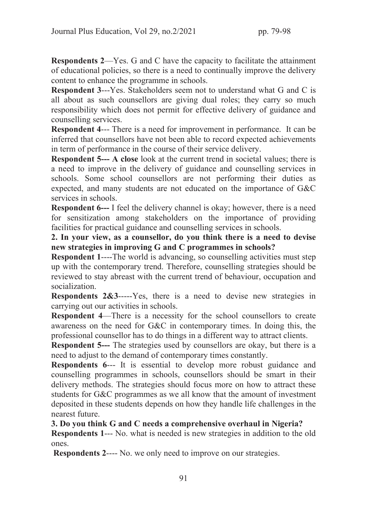Respondents 2—Yes. G and C have the capacity to facilitate the attainment of educational policies, so there is a need to continually improve the delivery content to enhance the programme in schools.

Respondent 3---Yes. Stakeholders seem not to understand what G and C is all about as such counsellors are giving dual roles; they carry so much responsibility which does not permit for effective delivery of guidance and counselling services.

Respondent 4--- There is a need for improvement in performance. It can be inferred that counsellors have not been able to record expected achievements in term of performance in the course of their service delivery.

Respondent 5--- A close look at the current trend in societal values; there is a need to improve in the delivery of guidance and counselling services in schools. Some school counsellors are not performing their duties as expected, and many students are not educated on the importance of G&C services in schools.

**Respondent 6---** I feel the delivery channel is okay; however, there is a need for sensitization among stakeholders on the importance of providing facilities for practical guidance and counselling services in schools.

2. In your view, as a counsellor, do you think there is a need to devise new strategies in improving G and C programmes in schools?

Respondent 1----The world is advancing, so counselling activities must step up with the contemporary trend. Therefore, counselling strategies should be reviewed to stay abreast with the current trend of behaviour, occupation and socialization.

Respondents 2&3-----Yes, there is a need to devise new strategies in carrying out our activities in schools.

Respondent 4—There is a necessity for the school counsellors to create awareness on the need for G&C in contemporary times. In doing this, the professional counsellor has to do things in a different way to attract clients.

Respondent 5--- The strategies used by counsellors are okay, but there is a need to adjust to the demand of contemporary times constantly.

Respondents 6--- It is essential to develop more robust guidance and counselling programmes in schools, counsellors should be smart in their delivery methods. The strategies should focus more on how to attract these students for G&C programmes as we all know that the amount of investment deposited in these students depends on how they handle life challenges in the nearest future.

3. Do you think G and C needs a comprehensive overhaul in Nigeria?

Respondents 1--- No. what is needed is new strategies in addition to the old ones.

Respondents 2---- No. we only need to improve on our strategies.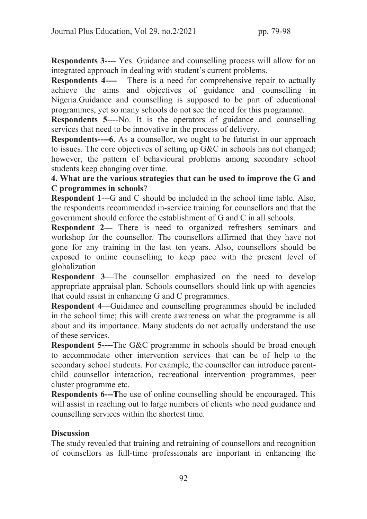Respondents 3---- Yes. Guidance and counselling process will allow for an integrated approach in dealing with student's current problems.

Respondents 4---- There is a need for comprehensive repair to actually achieve the aims and objectives of guidance and counselling in Nigeria.Guidance and counselling is supposed to be part of educational programmes, yet so many schools do not see the need for this programme.

Respondents 5----No. It is the operators of guidance and counselling services that need to be innovative in the process of delivery.

Respondents----6. As a counsellor, we ought to be futurist in our approach to issues. The core objectives of setting up G&C in schools has not changed; however, the pattern of behavioural problems among secondary school students keep changing over time.

# 4. What are the various strategies that can be used to improve the G and C programmes in schools?

Respondent 1---G and C should be included in the school time table. Also, the respondents recommended in-service training for counsellors and that the government should enforce the establishment of G and C in all schools.

Respondent 2--- There is need to organized refreshers seminars and workshop for the counsellor. The counsellors affirmed that they have not gone for any training in the last ten years. Also, counsellors should be exposed to online counselling to keep pace with the present level of globalization

Respondent 3—The counsellor emphasized on the need to develop appropriate appraisal plan. Schools counsellors should link up with agencies that could assist in enhancing G and C programmes.

Respondent 4—Guidance and counselling programmes should be included in the school time; this will create awareness on what the programme is all about and its importance. Many students do not actually understand the use of these services.

Respondent 5----The G&C programme in schools should be broad enough to accommodate other intervention services that can be of help to the secondary school students. For example, the counsellor can introduce parentchild counsellor interaction, recreational intervention programmes, peer cluster programme etc.

Respondents 6---The use of online counselling should be encouraged. This will assist in reaching out to large numbers of clients who need guidance and counselling services within the shortest time.

# **Discussion**

The study revealed that training and retraining of counsellors and recognition of counsellors as full-time professionals are important in enhancing the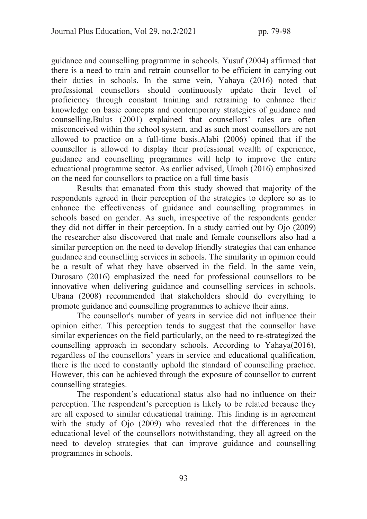guidance and counselling programme in schools. Yusuf (2004) affirmed that there is a need to train and retrain counsellor to be efficient in carrying out their duties in schools. In the same vein, Yahaya (2016) noted that professional counsellors should continuously update their level of proficiency through constant training and retraining to enhance their knowledge on basic concepts and contemporary strategies of guidance and counselling.Bulus (2001) explained that counsellors' roles are often misconceived within the school system, and as such most counsellors are not allowed to practice on a full-time basis.Alabi (2006) opined that if the counsellor is allowed to display their professional wealth of experience, guidance and counselling programmes will help to improve the entire educational programme sector. As earlier advised, Umoh (2016) emphasized on the need for counsellors to practice on a full time basis

 Results that emanated from this study showed that majority of the respondents agreed in their perception of the strategies to deplore so as to enhance the effectiveness of guidance and counselling programmes in schools based on gender. As such, irrespective of the respondents gender they did not differ in their perception. In a study carried out by Ojo (2009) the researcher also discovered that male and female counsellors also had a similar perception on the need to develop friendly strategies that can enhance guidance and counselling services in schools. The similarity in opinion could be a result of what they have observed in the field. In the same vein, Durosaro (2016) emphasized the need for professional counsellors to be innovative when delivering guidance and counselling services in schools. Ubana (2008) recommended that stakeholders should do everything to promote guidance and counselling programmes to achieve their aims.

 The counsellor's number of years in service did not influence their opinion either. This perception tends to suggest that the counsellor have similar experiences on the field particularly, on the need to re-strategized the counselling approach in secondary schools. According to Yahaya(2016), regardless of the counsellors' years in service and educational qualification, there is the need to constantly uphold the standard of counselling practice. However, this can be achieved through the exposure of counsellor to current counselling strategies.

The respondent's educational status also had no influence on their perception. The respondent's perception is likely to be related because they are all exposed to similar educational training. This finding is in agreement with the study of Ojo (2009) who revealed that the differences in the educational level of the counsellors notwithstanding, they all agreed on the need to develop strategies that can improve guidance and counselling programmes in schools.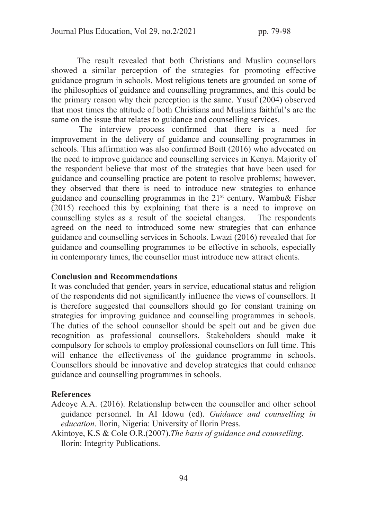The result revealed that both Christians and Muslim counsellors showed a similar perception of the strategies for promoting effective guidance program in schools. Most religious tenets are grounded on some of the philosophies of guidance and counselling programmes, and this could be the primary reason why their perception is the same. Yusuf (2004) observed that most times the attitude of both Christians and Muslims faithful's are the same on the issue that relates to guidance and counselling services.

 The interview process confirmed that there is a need for improvement in the delivery of guidance and counselling programmes in schools. This affirmation was also confirmed Boitt (2016) who advocated on the need to improve guidance and counselling services in Kenya. Majority of the respondent believe that most of the strategies that have been used for guidance and counselling practice are potent to resolve problems; however, they observed that there is need to introduce new strategies to enhance guidance and counselling programmes in the  $21<sup>st</sup>$  century. Wambu& Fisher (2015) reechoed this by explaining that there is a need to improve on counselling styles as a result of the societal changes. The respondents agreed on the need to introduced some new strategies that can enhance guidance and counselling services in Schools. Lwazi (2016) revealed that for guidance and counselling programmes to be effective in schools, especially in contemporary times, the counsellor must introduce new attract clients.

#### Conclusion and Recommendations

It was concluded that gender, years in service, educational status and religion of the respondents did not significantly influence the views of counsellors. It is therefore suggested that counsellors should go for constant training on strategies for improving guidance and counselling programmes in schools. The duties of the school counsellor should be spelt out and be given due recognition as professional counsellors. Stakeholders should make it compulsory for schools to employ professional counsellors on full time. This will enhance the effectiveness of the guidance programme in schools. Counsellors should be innovative and develop strategies that could enhance guidance and counselling programmes in schools.

#### References

- Adeoye A.A. (2016). Relationship between the counsellor and other school guidance personnel. In AI Idowu (ed). *Guidance and counselling in education*. Ilorin, Nigeria: University of Ilorin Press.
- Akintoye, K.S & Cole O.R.(2007).*The basis of guidance and counselling*. Ilorin: Integrity Publications.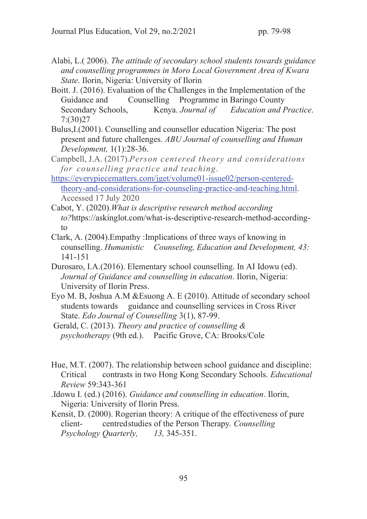- Alabi, L.( 2006). *The attitude of secondary school students towards guidance and counselling programmes in Moro Local Government Area of Kwara State*. Ilorin, Nigeria: University of Ilorin
- Boitt. J. (2016). Evaluation of the Challenges in the Implementation of the Guidance and Counselling Programme in Baringo County Secondary Schools, Kenya. *Journal of Education and Practice*. 7:(30)27
- Bulus,I.(2001). Counselling and counsellor education Nigeria: The post present and future challenges. *ABU Journal of counselling and Human Development,* 1(1):28-36.
- Campbell, J.A. (2017).*Person centered theory and considerations for counselling practice and teaching.*
- https://everypiecematters.com/jget/volume01-issue02/person-centeredtheory-and-considerations-for-counseling-practice-and-teaching.html. Accessed 17 July 2020
- Cabot, Y. (2020).*What is descriptive research method according to?*https://askinglot.com/what-is-descriptive-research-method-accordingto
- Clark, A. (2004).Empathy :Implications of three ways of knowing in counselling. *Humanistic Counseling, Education and Development, 43:* 141-151
- Durosaro, I.A.(2016). Elementary school counselling. In AI Idowu (ed). *Journal of Guidance and counselling in education*. Ilorin, Nigeria: University of Ilorin Press.
- Eyo M. B, Joshua A.M &Esuong A. E (2010). Attitude of secondary school students towards guidance and counselling services in Cross River State. *Edo Journal of Counselling* 3(1), 87-99.
- Gerald, C. (2013). *Theory and practice of counselling & psychotherapy* (9th ed.). Pacific Grove, CA: Brooks/Cole
- Hue, M.T. (2007). The relationship between school guidance and discipline: Critical contrasts in two Hong Kong Secondary Schools. *Educational Review* 59:343-361
- .Idowu I. (ed.) (2016). *Guidance and counselling in education*. Ilorin, Nigeria: University of Ilorin Press.
- Kensit, D. (2000). Rogerian theory: A critique of the effectiveness of pure client- centred studies of the Person Therapy*. Counselling Psychology Quarterly, 13,* 345-351.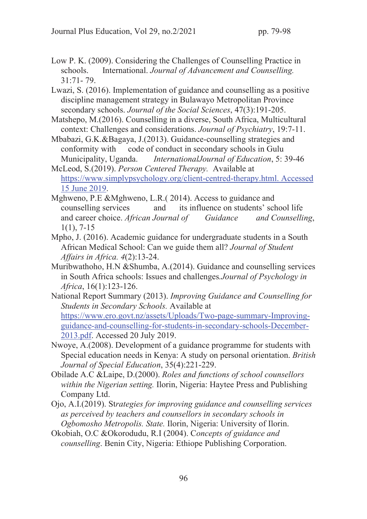- Low P. K. (2009). Considering the Challenges of Counselling Practice in schools. International. *Journal of Advancement and Counselling.* 31:71- 79.
- Lwazi, S. (2016). Implementation of guidance and counselling as a positive discipline management strategy in Bulawayo Metropolitan Province secondary schools. *Journal of the Social Sciences*, 47(3):191-205.
- Matshepo, M.(2016). Counselling in a diverse, South Africa, Multicultural context: Challenges and considerations. *Journal of Psychiatry*, 19:7-11.
- Mbabazi, G.K.&Bagaya, J.(2013). Guidance-counselling strategies and conformity with code of conduct in secondary schools in Gulu Municipality, Uganda. *InternationalJournal of Education*, 5: 39-46
- McLeod, S.(2019). *Person Centered Therapy.* Available at https://www.simplypsychology.org/client-centred-therapy.html. Accessed 15 June 2019.
- Mghweno, P.E &Mghweno, L.R.( 2014). Access to guidance and counselling services and its influence on students' school life and career choice. *African Journal of Guidance and Counselling*, 1(1), 7-15
- Mpho, J. (2016). Academic guidance for undergraduate students in a South African Medical School: Can we guide them all? *Journal of Student Affairs in Africa. 4*(2):13-24.
- Muribwathoho, H.N &Shumba, A.(2014). Guidance and counselling services in South Africa schools: Issues and challenges*.Journal of Psychology in Africa*, 16(1):123-126.
- National Report Summary (2013). *Improving Guidance and Counselling for Students in Secondary Schools.* Available at https://www.ero.govt.nz/assets/Uploads/Two-page-summary-Improvingguidance-and-counselling-for-students-in-secondary-schools-December-2013.pdf. Accessed 20 July 2019.
- Nwoye, A.(2008). Development of a guidance programme for students with Special education needs in Kenya: A study on personal orientation. *British Journal of Special Education*, 35(4):221-229.
- Obilade A.C &Laipe, D.(2000). *Roles and functions of school counsellors within the Nigerian setting.* Ilorin, Nigeria: Haytee Press and Publishing Company Ltd.
- Ojo, A.I.(2019). St*rategies for improving guidance and counselling services as perceived by teachers and counsellors in secondary schools in Ogbomosho Metropolis. State.* Ilorin, Nigeria: University of Ilorin.
- Okobiah, O.C &Okorodudu, R.I (2004). C*oncepts of guidance and counselling*. Benin City, Nigeria: Ethiope Publishing Corporation.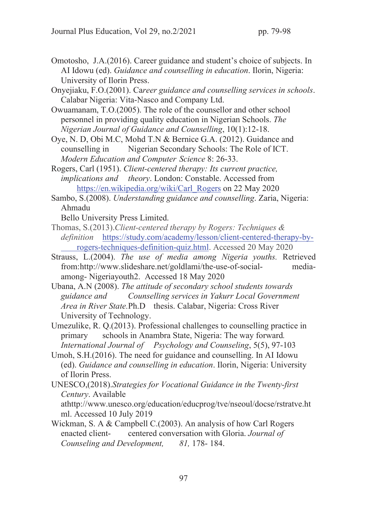- Omotosho, J.A.(2016). Career guidance and student's choice of subjects. In AI Idowu (ed). *Guidance and counselling in education*. Ilorin, Nigeria: University of Ilorin Press.
- Onyejiaku, F.O.(2001). Ca*reer guidance and counselling services in schools*. Calabar Nigeria: Vita-Nasco and Company Ltd.
- Owuamanam, T.O.(2005). The role of the counsellor and other school personnel in providing quality education in Nigerian Schools. *The Nigerian Journal of Guidance and Counselling*, 10(1):12-18.
- Oye, N. D, Obi M.C, Mohd T.N & Bernice G.A. (2012). Guidance and counselling in Nigerian Secondary Schools: The Role of ICT. *Modern Education and Computer Science* 8: 26-33.
- Rogers, Carl (1951). *Client-centered therapy: Its current practice, implications and theory*. London: Constable. Accessed from https://en.wikipedia.org/wiki/Carl\_Rogers on 22 May 2020
- Sambo, S.(2008). *Understanding guidance and counselling*. Zaria, Nigeria: Ahmadu

Bello University Press Limited.

- Thomas, S.(2013).*Client-centered therapy by Rogers: Techniques & definition* https://study.com/academy/lesson/client-centered-therapy-by rogers-techniques-definition-quiz.html. Accessed 20 May 2020
- Strauss, L.(2004). *The use of media among Nigeria youths.* Retrieved from:http://www.slideshare.net/goldlami/the-use-of-social- mediaamong- Nigeriayouth2. Accessed 18 May 2020
- Ubana, A.N (2008). *The attitude of secondary school students towards guidance and Counselling services in Yakurr Local Government Area in River State.*Ph.D thesis. Calabar, Nigeria: Cross River University of Technology.
- Umezulike, R. Q.(2013). Professional challenges to counselling practice in primary schools in Anambra State, Nigeria: The way forward*. International Journal of Psychology and Counseling*, 5(5), 97-103
- Umoh, S.H.(2016). The need for guidance and counselling. In AI Idowu (ed). *Guidance and counselling in education*. Ilorin, Nigeria: University of Ilorin Press.
- UNESCO,(2018).*Strategies for Vocational Guidance in the Twenty-first Century*. Available

athttp://www.unesco.org/education/educprog/tve/nseoul/docse/rstratve.ht ml. Accessed 10 July 2019

Wickman, S. A & Campbell C.(2003). An analysis of how Carl Rogers enacted client- centered conversation with Gloria. *Journal of Counseling and Development, 81,* 178- 184.